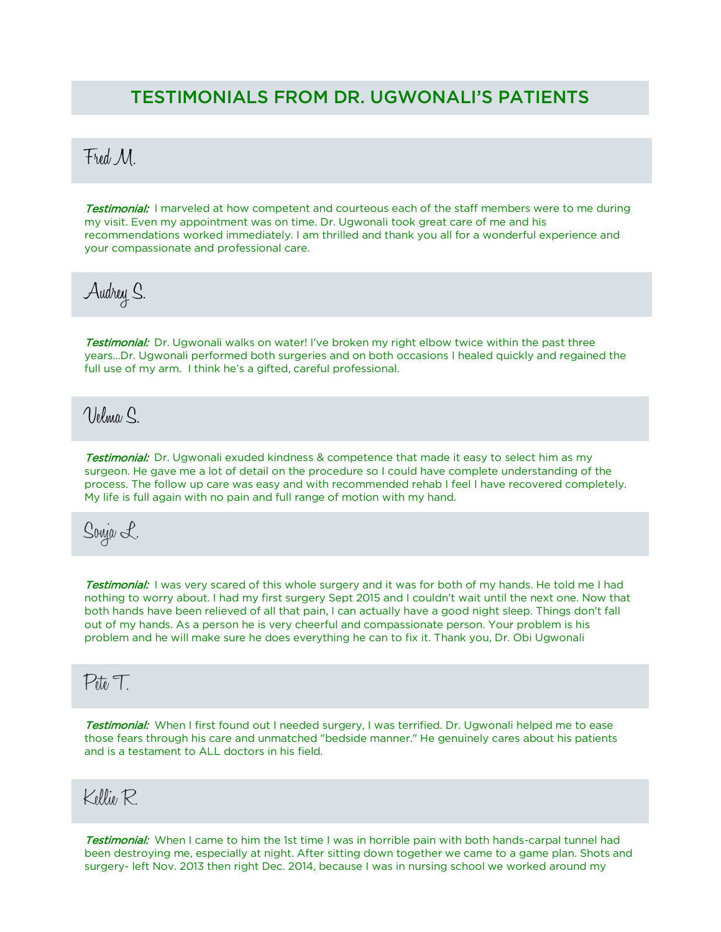#### TESTIMONIALS FROM DR. UGWONALI'S PATIENTS

## Fred M.

**Testimonial:** I marveled at how competent and courteous each of the staff members were to me during my visit. Even my appointment was on time. Dr. Ugwonali took great care of me and his recommendations worked immediately. I am thrilled and thank you all for a wonderful experience and your compassionate and professional care.

Audrey S.

Testimonial: Dr. Ugwonali walks on water! I've broken my right elbow twice within the past three years…Dr. Ugwonali performed both surgeries and on both occasions I healed quickly and regained the full use of my arm. I think he's a gifted, careful professional.

 $N$ lelma $\Omega$ 

**Testimonial:** Dr. Ugwonali exuded kindness & competence that made it easy to select him as my surgeon. He gave me a lot of detail on the procedure so I could have complete understanding of the process. The follow up care was easy and with recommended rehab I feel I have recovered completely. My life is full again with no pain and full range of motion with my hand.

Sonja L.

Testimonial: I was very scared of this whole surgery and it was for both of my hands. He told me I had nothing to worry about. I had my first surgery Sept 2015 and I couldn't wait until the next one. Now that both hands have been relieved of all that pain, I can actually have a good night sleep. Things don't fall out of my hands. As a person he is very cheerful and compassionate person. Your problem is his problem and he will make sure he does everything he can to fix it. Thank you, Dr. Obi Ugwonali

## $P_{\bar{U}_l}$

Testimonial: When I first found out I needed surgery, I was terrified. Dr. Ugwonali helped me to ease those fears through his care and unmatched "bedside manner." He genuinely cares about his patients and is a testament to ALL doctors in his field.

## Kellie R.

Testimonial: When I came to him the 1st time I was in horrible pain with both hands-carpal tunnel had been destroying me, especially at night. After sitting down together we came to a game plan. Shots and surgery- left Nov. 2013 then right Dec. 2014, because I was in nursing school we worked around my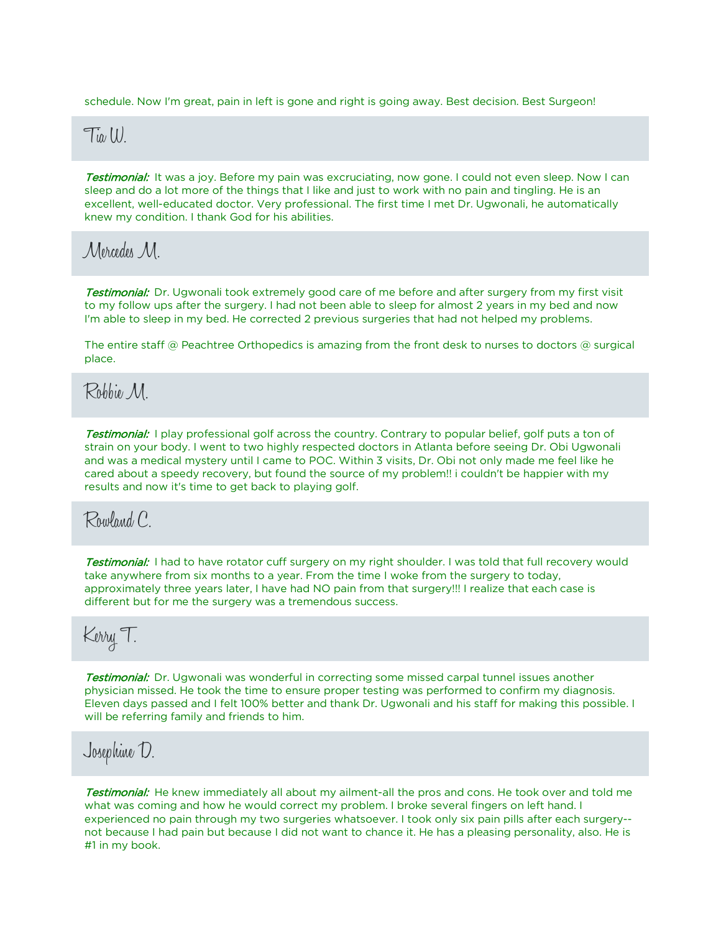schedule. Now I'm great, pain in left is gone and right is going away. Best decision. Best Surgeon!

#### $\overline{\mathrm{T}_{\mathit{U}}(l)}$

**Testimonial:** It was a joy. Before my pain was excruciating, now gone. I could not even sleep. Now I can sleep and do a lot more of the things that I like and just to work with no pain and tingling. He is an excellent, well-educated doctor. Very professional. The first time I met Dr. Ugwonali, he automatically knew my condition. I thank God for his abilities.

Mercedes M.

Testimonial: Dr. Ugwonali took extremely good care of me before and after surgery from my first visit to my follow ups after the surgery. I had not been able to sleep for almost 2 years in my bed and now I'm able to sleep in my bed. He corrected 2 previous surgeries that had not helped my problems.

The entire staff  $\circledcirc$  Peachtree Orthopedics is amazing from the front desk to nurses to doctors  $\circledcirc$  surgical place.

Robbie M.

**Testimonial:** I play professional golf across the country. Contrary to popular belief, golf puts a ton of strain on your body. I went to two highly respected doctors in Atlanta before seeing Dr. Obi Ugwonali and was a medical mystery until I came to POC. Within 3 visits, Dr. Obi not only made me feel like he cared about a speedy recovery, but found the source of my problem!! i couldn't be happier with my results and now it's time to get back to playing golf.

Rowland C.

Testimonial: I had to have rotator cuff surgery on my right shoulder. I was told that full recovery would take anywhere from six months to a year. From the time I woke from the surgery to today, approximately three years later, I have had NO pain from that surgery!!! I realize that each case is different but for me the surgery was a tremendous success.

## Kerry T.

**Testimonial:** Dr. Ugwonali was wonderful in correcting some missed carpal tunnel issues another physician missed. He took the time to ensure proper testing was performed to confirm my diagnosis. Eleven days passed and I felt 100% better and thank Dr. Ugwonali and his staff for making this possible. I will be referring family and friends to him.

## Josephine D.

**Testimonial:** He knew immediately all about my ailment-all the pros and cons. He took over and told me what was coming and how he would correct my problem. I broke several fingers on left hand. I experienced no pain through my two surgeries whatsoever. I took only six pain pills after each surgery- not because I had pain but because I did not want to chance it. He has a pleasing personality, also. He is #1 in my book.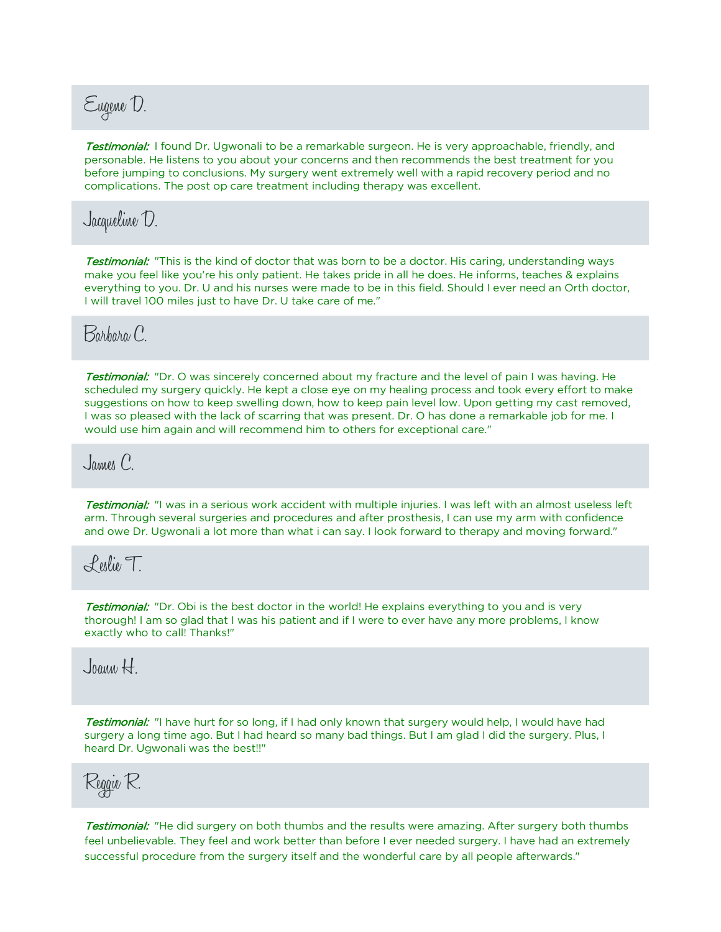# Eugene D.

**Testimonial:** I found Dr. Ugwonali to be a remarkable surgeon. He is very approachable, friendly, and personable. He listens to you about your concerns and then recommends the best treatment for you before jumping to conclusions. My surgery went extremely well with a rapid recovery period and no complications. The post op care treatment including therapy was excellent.

## Jacqueline D.

Testimonial: "This is the kind of doctor that was born to be a doctor. His caring, understanding ways make you feel like you're his only patient. He takes pride in all he does. He informs, teaches & explains everything to you. Dr. U and his nurses were made to be in this field. Should I ever need an Orth doctor, I will travel 100 miles just to have Dr. U take care of me."

## Barbara C.

**Testimonial:** "Dr. O was sincerely concerned about my fracture and the level of pain I was having. He scheduled my surgery quickly. He kept a close eye on my healing process and took every effort to make suggestions on how to keep swelling down, how to keep pain level low. Upon getting my cast removed, I was so pleased with the lack of scarring that was present. Dr. O has done a remarkable job for me. I would use him again and will recommend him to others for exceptional care."

 $J$ ames  $C$ 

Testimonial: "I was in a serious work accident with multiple injuries. I was left with an almost useless left arm. Through several surgeries and procedures and after prosthesis, I can use my arm with confidence and owe Dr. Ugwonali a lot more than what i can say. I look forward to therapy and moving forward."

Leslie T.

**Testimonial:** "Dr. Obi is the best doctor in the world! He explains everything to you and is very thorough! I am so glad that I was his patient and if I were to ever have any more problems, I know exactly who to call! Thanks!"

Joann H.

Testimonial: "I have hurt for so long, if I had only known that surgery would help, I would have had surgery a long time ago. But I had heard so many bad things. But I am glad I did the surgery. Plus, I heard Dr. Ugwonali was the best!!"



**Testimonial:** "He did surgery on both thumbs and the results were amazing. After surgery both thumbs feel unbelievable. They feel and work better than before I ever needed surgery. I have had an extremely successful procedure from the surgery itself and the wonderful care by all people afterwards."